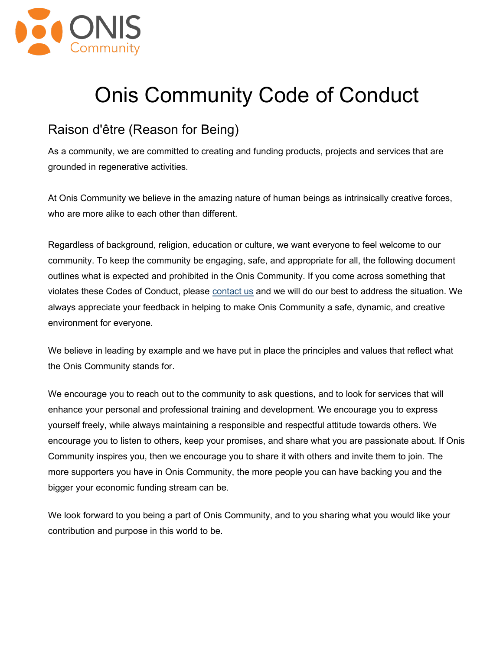

# Onis Community Code of Conduct

## Raison d'être (Reason for Being)

As a community, we are committed to creating and funding products, projects and services that are grounded in regenerative activities.

At Onis Community we believe in the amazing nature of human beings as intrinsically creative forces, who are more alike to each other than different.

Regardless of background, religion, education or culture, we want everyone to feel welcome to our community. To keep the community be engaging, safe, and appropriate for all, the following document outlines what is expected and prohibited in the Onis Community. If you come across something that violates these Codes of Conduct, please contact us and we will do our best to address the situation. We always appreciate your feedback in helping to make Onis Community a safe, dynamic, and creative environment for everyone.

We believe in leading by example and we have put in place the principles and values that reflect what the Onis Community stands for.

We encourage you to reach out to the community to ask questions, and to look for services that will enhance your personal and professional training and development. We encourage you to express yourself freely, while always maintaining a responsible and respectful attitude towards others. We encourage you to listen to others, keep your promises, and share what you are passionate about. If Onis Community inspires you, then we encourage you to share it with others and invite them to join. The more supporters you have in Onis Community, the more people you can have backing you and the bigger your economic funding stream can be.

We look forward to you being a part of Onis Community, and to you sharing what you would like your contribution and purpose in this world to be.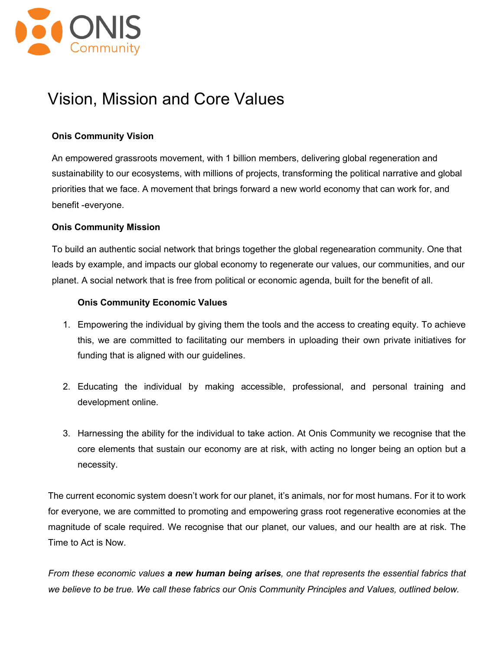

## Vision, Mission and Core Values

#### **Onis Community Vision**

An empowered grassroots movement, with 1 billion members, delivering global regeneration and sustainability to our ecosystems, with millions of projects, transforming the political narrative and global priorities that we face. A movement that brings forward a new world economy that can work for, and benefit -everyone.

#### **Onis Community Mission**

To build an authentic social network that brings together the global regenearation community. One that leads by example, and impacts our global economy to regenerate our values, our communities, and our planet. A social network that is free from political or economic agenda, built for the benefit of all.

#### **Onis Community Economic Values**

- 1. Empowering the individual by giving them the tools and the access to creating equity. To achieve this, we are committed to facilitating our members in uploading their own private initiatives for funding that is aligned with our guidelines.
- 2. Educating the individual by making accessible, professional, and personal training and development online.
- 3. Harnessing the ability for the individual to take action. At Onis Community we recognise that the core elements that sustain our economy are at risk, with acting no longer being an option but a necessity.

The current economic system doesn't work for our planet, it's animals, nor for most humans. For it to work for everyone, we are committed to promoting and empowering grass root regenerative economies at the magnitude of scale required. We recognise that our planet, our values, and our health are at risk. The Time to Act is Now.

*From these economic values a new human being arises, one that represents the essential fabrics that we believe to be true. We call these fabrics our Onis Community Principles and Values, outlined below.*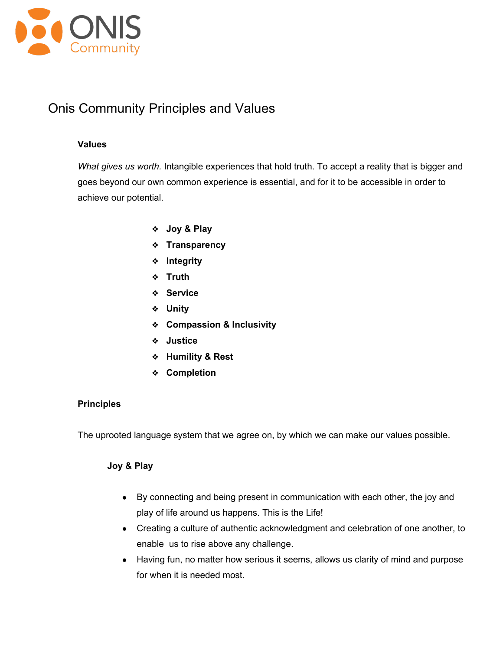

### Onis Community Principles and Values

#### **Values**

*What gives us worth.* Intangible experiences that hold truth. To accept a reality that is bigger and goes beyond our own common experience is essential, and for it to be accessible in order to achieve our potential.

- ❖ **Joy & Play**
- ❖ **Transparency**
- ❖ **Integrity**
- ❖ **Truth**
- ❖ **Service**
- ❖ **Unity**
- ❖ **Compassion & Inclusivity**
- ❖ **Justice**
- ❖ **Humility & Rest**
- ❖ **Completion**

#### **Principles**

The uprooted language system that we agree on, by which we can make our values possible.

#### **Joy & Play**

- By connecting and being present in communication with each other, the joy and play of life around us happens. This is the Life!
- Creating a culture of authentic acknowledgment and celebration of one another, to enable us to rise above any challenge.
- Having fun, no matter how serious it seems, allows us clarity of mind and purpose for when it is needed most.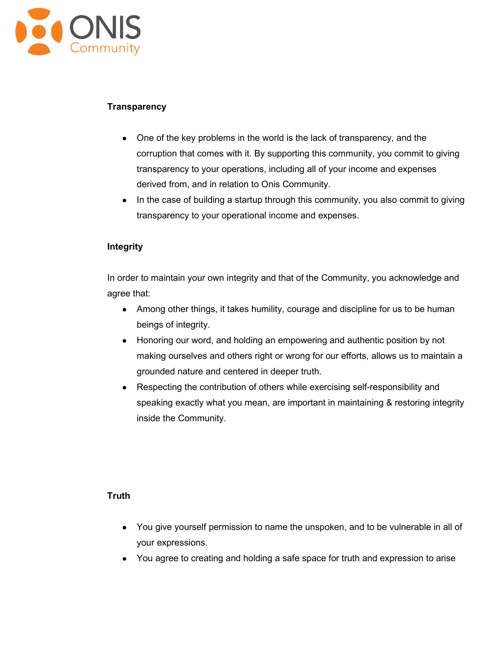

#### **Transparency**

- One of the key problems in the world is the lack of transparency, and the corruption that comes with it. By supporting this community, you commit to giving transparency to your operations, including all of your income and expenses derived from, and in relation to Onis Community.
- In the case of building a startup through this community, you also commit to giving transparency to your operational income and expenses.

#### **Integrity**

In order to maintain your own integrity and that of the Community, you acknowledge and agree that:

- Among other things, it takes humility, courage and discipline for us to be human beings of integrity.
- Honoring our word, and holding an empowering and authentic position by not making ourselves and others right or wrong for our efforts, allows us to maintain a grounded nature and centered in deeper truth.
- Respecting the contribution of others while exercising self-responsibility and speaking exactly what you mean, are important in maintaining & restoring integrity inside the Community.

#### **Truth**

- You give yourself permission to name the unspoken, and to be vulnerable in all of your expressions.
- You agree to creating and holding a safe space for truth and expression to arise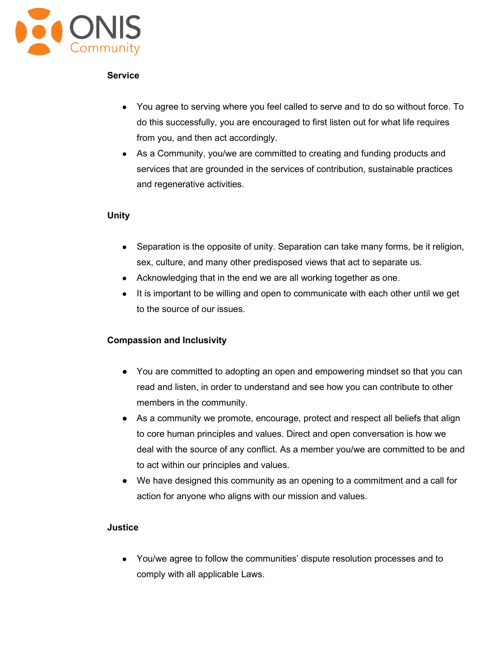

#### **Service**

- You agree to serving where you feel called to serve and to do so without force. To do this successfully, you are encouraged to first listen out for what life requires from you, and then act accordingly.
- As a Community, you/we are committed to creating and funding products and services that are grounded in the services of contribution, sustainable practices and regenerative activities.

#### **Unity**

- Separation is the opposite of unity. Separation can take many forms, be it religion, sex, culture, and many other predisposed views that act to separate us.
- Acknowledging that in the end we are all working together as one.
- It is important to be willing and open to communicate with each other until we get to the source of our issues.

#### **Compassion and Inclusivity**

- You are committed to adopting an open and empowering mindset so that you can read and listen, in order to understand and see how you can contribute to other members in the community.
- As a community we promote, encourage, protect and respect all beliefs that align to core human principles and values. Direct and open conversation is how we deal with the source of any conflict. As a member you/we are committed to be and to act within our principles and values.
- We have designed this community as an opening to a commitment and a call for action for anyone who aligns with our mission and values.

#### **Justice**

● You/we agree to follow the communities' dispute resolution processes and to comply with all applicable Laws.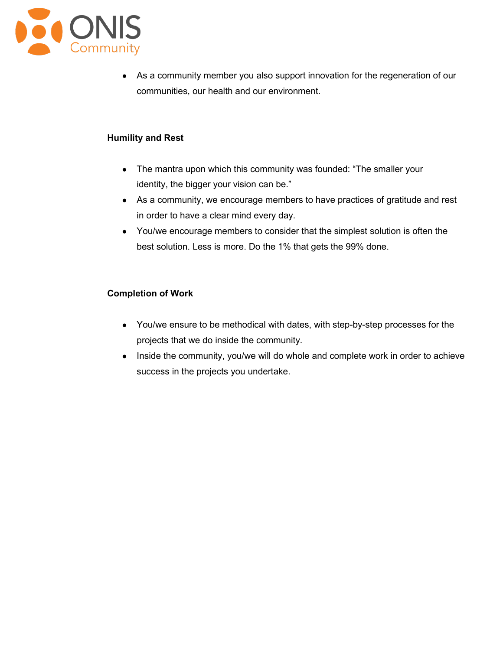

• As a community member you also support innovation for the regeneration of our communities, our health and our environment.

#### **Humility and Rest**

- The mantra upon which this community was founded: "The smaller your identity, the bigger your vision can be."
- As a community, we encourage members to have practices of gratitude and rest in order to have a clear mind every day.
- You/we encourage members to consider that the simplest solution is often the best solution. Less is more. Do the 1% that gets the 99% done.

#### **Completion of Work**

- You/we ensure to be methodical with dates, with step-by-step processes for the projects that we do inside the community.
- Inside the community, you/we will do whole and complete work in order to achieve success in the projects you undertake.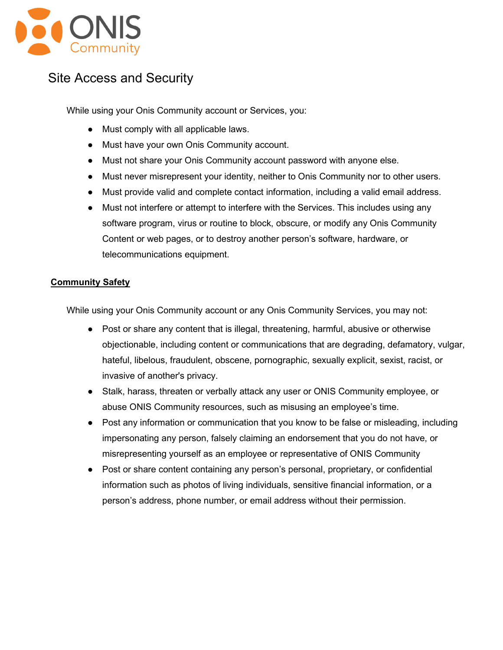

## Site Access and Security

While using your Onis Community account or Services, you:

- Must comply with all applicable laws.
- Must have your own Onis Community account.
- Must not share your Onis Community account password with anyone else.
- Must never misrepresent your identity, neither to Onis Community nor to other users.
- Must provide valid and complete contact information, including a valid email address.
- Must not interfere or attempt to interfere with the Services. This includes using any software program, virus or routine to block, obscure, or modify any Onis Community Content or web pages, or to destroy another person's software, hardware, or telecommunications equipment.

#### **Community Safety**

While using your Onis Community account or any Onis Community Services, you may not:

- Post or share any content that is illegal, threatening, harmful, abusive or otherwise objectionable, including content or communications that are degrading, defamatory, vulgar, hateful, libelous, fraudulent, obscene, pornographic, sexually explicit, sexist, racist, or invasive of another's privacy.
- Stalk, harass, threaten or verbally attack any user or ONIS Community employee, or abuse ONIS Community resources, such as misusing an employee's time.
- Post any information or communication that you know to be false or misleading, including impersonating any person, falsely claiming an endorsement that you do not have, or misrepresenting yourself as an employee or representative of ONIS Community
- Post or share content containing any person's personal, proprietary, or confidential information such as photos of living individuals, sensitive financial information, or a person's address, phone number, or email address without their permission.